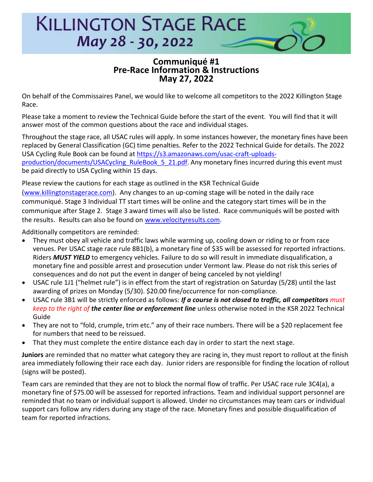

## **Communiqué #1 Pre-Race Information & Instructions May 27, 2022**

On behalf of the Commissaires Panel, we would like to welcome all competitors to the 2022 Killington Stage Race.

Please take a moment to review the Technical Guide before the start of the event. You will find that it will answer most of the common questions about the race and individual stages.

Throughout the stage race, all USAC rules will apply. In some instances however, the monetary fines have been replaced by General Classification (GC) time penalties. Refer to the 2022 Technical Guide for details. The 2022 USA Cycling Rule Book can be found at [https://s3.amazonaws.com/usac-craft-uploads](https://s3.amazonaws.com/usac-craft-uploads-production/documents/USACycling_RuleBook_5_21.pdf)[production/documents/USACycling\\_RuleBook\\_5\\_21.pdf](https://s3.amazonaws.com/usac-craft-uploads-production/documents/USACycling_RuleBook_5_21.pdf). Any monetary fines incurred during this event must be paid directly to USA Cycling within 15 days.

Please review the cautions for each stage as outlined in the KSR Technical Guide

[\(www.killingtonstagerace.com\)](http://www.killingtonstagerace.com/). Any changes to an up-coming stage will be noted in the daily race communiqué. Stage 3 Individual TT start times will be online and the category start times will be in the communique after Stage 2. Stage 3 award times will also be listed. Race communiqués will be posted with the results. Results can also be found on [www.velocityresults.com.](www.velocityresults.com)

Additionally competitors are reminded:

- They must obey all vehicle and traffic laws while warming up, cooling down or riding to or from race venues. Per USAC stage race rule 8B1(b), a monetary fine of \$35 will be assessed for reported infractions. Riders *MUST YIELD* to emergency vehicles. Failure to do so will result in immediate disqualification, a monetary fine and possible arrest and prosecution under Vermont law. Please do not risk this series of consequences and do not put the event in danger of being canceled by not yielding!
- USAC rule 1J1 ("helmet rule") is in effect from the start of registration on Saturday (5/28) until the last awarding of prizes on Monday (5/30). \$20.00 fine/occurrence for non-compliance.
- USAC rule 3B1 will be strictly enforced as follows: *If a course is not closed to traffic, all competitors must keep to the right of the center line or enforcement line* unless otherwise noted in the KSR 2022 Technical Guide
- They are not to "fold, crumple, trim etc." any of their race numbers. There will be a \$20 replacement fee for numbers that need to be reissued.
- That they must complete the entire distance each day in order to start the next stage.

**Juniors** are reminded that no matter what category they are racing in, they must report to rollout at the finish area immediately following their race each day. Junior riders are responsible for finding the location of rollout (signs will be posted).

Team cars are reminded that they are not to block the normal flow of traffic. Per USAC race rule 3C4(a), a monetary fine of \$75.00 will be assessed for reported infractions. Team and individual support personnel are reminded that no team or individual support is allowed. Under no circumstances may team cars or individual support cars follow any riders during any stage of the race. Monetary fines and possible disqualification of team for reported infractions.